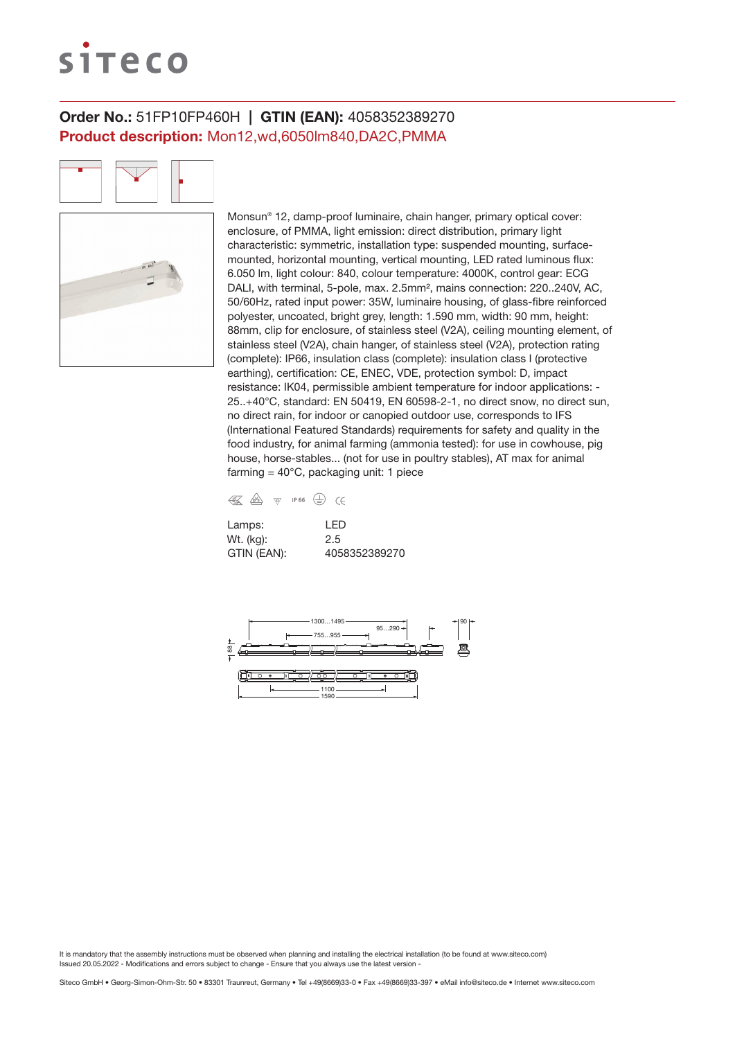# siteco

# Order No.: 51FP10FP460H | GTIN (EAN): 4058352389270 Product description: Mon12,wd,6050lm840,DA2C,PMMA

Monsun® 12, damp-proof luminaire, chain hanger, primary optical cover: enclosure, of PMMA, light emission: direct distribution, primary light characteristic: symmetric, installation type: suspended mounting, surfacemounted, horizontal mounting, vertical mounting, LED rated luminous flux: 6.050 lm, light colour: 840, colour temperature: 4000K, control gear: ECG DALI, with terminal, 5-pole, max. 2.5mm², mains connection: 220..240V, AC, 50/60Hz, rated input power: 35W, luminaire housing, of glass-fibre reinforced polyester, uncoated, bright grey, length: 1.590 mm, width: 90 mm, height: 88mm, clip for enclosure, of stainless steel (V2A), ceiling mounting element, of stainless steel (V2A), chain hanger, of stainless steel (V2A), protection rating (complete): IP66, insulation class (complete): insulation class I (protective earthing), certification: CE, ENEC, VDE, protection symbol: D, impact resistance: IK04, permissible ambient temperature for indoor applications: - 25..+40°C, standard: EN 50419, EN 60598-2-1, no direct snow, no direct sun, no direct rain, for indoor or canopied outdoor use, corresponds to IFS (International Featured Standards) requirements for safety and quality in the food industry, for animal farming (ammonia tested): for use in cowhouse, pig house, horse-stables... (not for use in poultry stables), AT max for animal farming =  $40^{\circ}$ C, packaging unit: 1 piece

| K | / <sub>D</sub> V <sub>E</sub> | <b>\D</b> | <b>IP 66</b> |  |
|---|-------------------------------|-----------|--------------|--|
|   |                               |           |              |  |

| Lamps:      | I FD          |
|-------------|---------------|
| Wt. (kg):   | 2.5           |
| GTIN (EAN): | 4058352389270 |

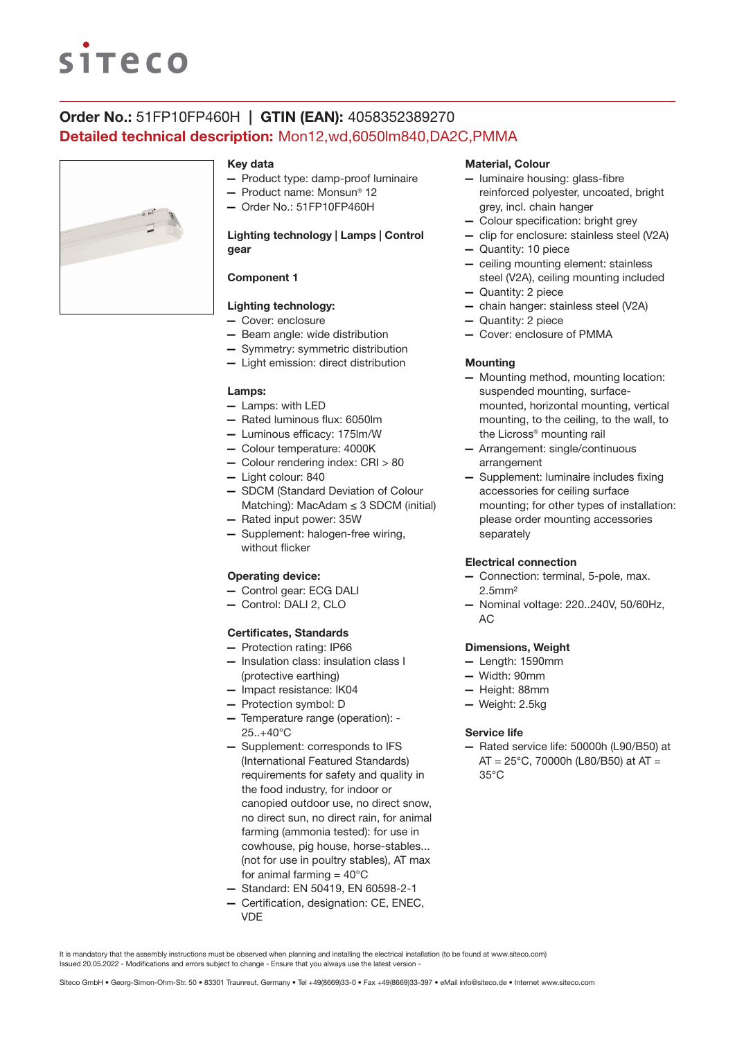# **siteco**

# Order No.: 51FP10FP460H | GTIN (EAN): 4058352389270 Detailed technical description: Mon12,wd,6050lm840,DA2C,PMMA



### Key data

- Product type: damp-proof luminaire
- Product name: Monsun® 12
- Order No.: 51FP10FP460H

# Lighting technology | Lamps | Control gear

# Component 1

# Lighting technology:

- Cover: enclosure
- Beam angle: wide distribution
- Symmetry: symmetric distribution
- Light emission: direct distribution

#### Lamps:

- Lamps: with LED
- Rated luminous flux: 6050lm
- Luminous efficacy: 175lm/W
- Colour temperature: 4000K
- Colour rendering index: CRI > 80
- Light colour: 840
- SDCM (Standard Deviation of Colour Matching): MacAdam ≤ 3 SDCM (initial)
- Rated input power: 35W
- Supplement: halogen-free wiring, without flicker

## Operating device:

- Control gear: ECG DALI
- Control: DALI 2, CLO

### Certificates, Standards

- Protection rating: IP66
- Insulation class: insulation class I (protective earthing)
- Impact resistance: IK04
- Protection symbol: D
- Temperature range (operation): 25..+40°C
- Supplement: corresponds to IFS (International Featured Standards) requirements for safety and quality in the food industry, for indoor or canopied outdoor use, no direct snow, no direct sun, no direct rain, for animal farming (ammonia tested): for use in cowhouse, pig house, horse-stables... (not for use in poultry stables), AT max for animal farming  $= 40^{\circ}$ C
- Standard: EN 50419, EN 60598-2-1
- Certification, designation: CE, ENEC, VDE

### Material, Colour

- luminaire housing: glass-fibre reinforced polyester, uncoated, bright grey, incl. chain hanger
- Colour specification: bright grey
- clip for enclosure: stainless steel (V2A)
- Quantity: 10 piece
- ceiling mounting element: stainless steel (V2A), ceiling mounting included
- Quantity: 2 piece
- chain hanger: stainless steel (V2A)
- Quantity: 2 piece
- Cover: enclosure of PMMA

#### **Mounting**

- Mounting method, mounting location: suspended mounting, surfacemounted, horizontal mounting, vertical mounting, to the ceiling, to the wall, to the Licross® mounting rail
- Arrangement: single/continuous arrangement
- Supplement: luminaire includes fixing accessories for ceiling surface mounting; for other types of installation: please order mounting accessories separately

#### Electrical connection

- Connection: terminal, 5-pole, max. 2.5mm²
- Nominal voltage: 220..240V, 50/60Hz, AC

#### Dimensions, Weight

- Length: 1590mm
- Width: 90mm
- Height: 88mm
- Weight: 2.5kg

#### Service life

— Rated service life: 50000h (L90/B50) at  $AT = 25^{\circ}$ C, 70000h (L80/B50) at AT = 35°C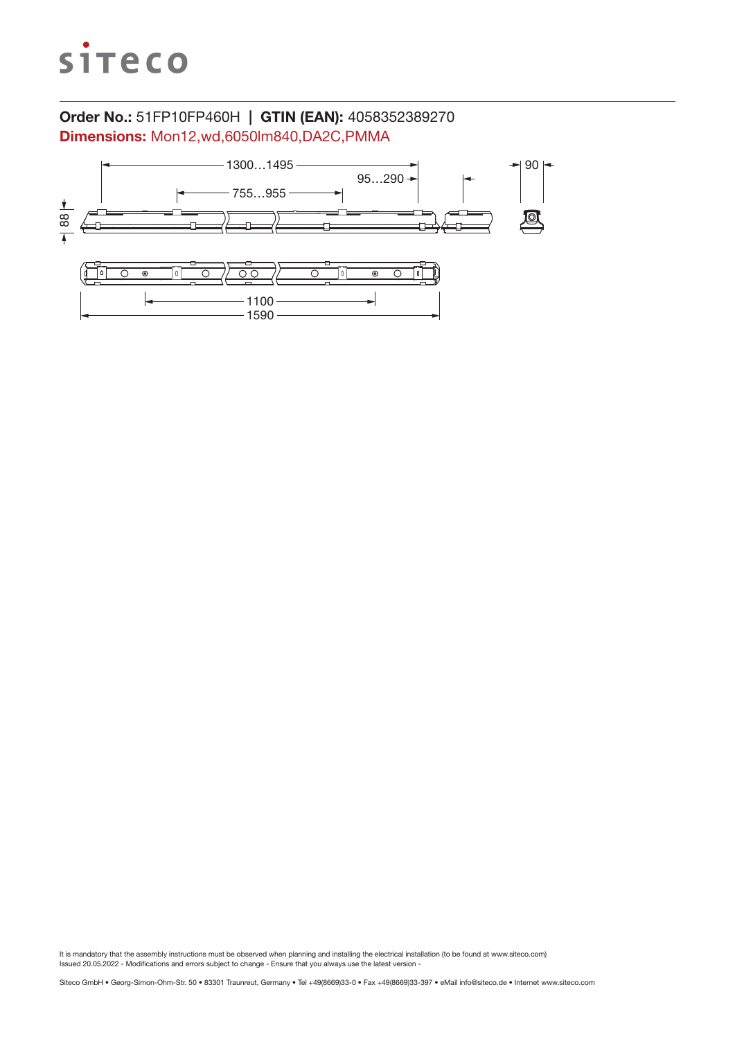

# Order No.: 51FP10FP460H | GTIN (EAN): 4058352389270 Dimensions: Mon12,wd,6050lm840,DA2C,PMMA